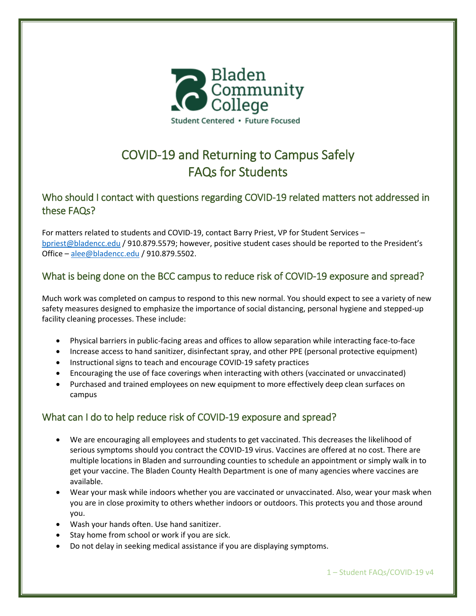

# COVID-19 and Returning to Campus Safely FAQs for Students

# Who should I contact with questions regarding COVID-19 related matters not addressed in these FAQs?

For matters related to students and COVID-19, contact Barry Priest, VP for Student Services – [bpriest@bladencc.edu](file:///C:/Users/bpriest/Desktop/Enrollment%20Data/2020FA/bpriest@bladencc.edu) / 910.879.5579; however, positive student cases should be reported to the President's Office – [alee@bladencc.edu](mailto:alee@bladencc.edu) / 910.879.5502.

# What is being done on the BCC campus to reduce risk of COVID-19 exposure and spread?

Much work was completed on campus to respond to this new normal. You should expect to see a variety of new safety measures designed to emphasize the importance of social distancing, personal hygiene and stepped-up facility cleaning processes. These include:

- Physical barriers in public-facing areas and offices to allow separation while interacting face-to-face
- Increase access to hand sanitizer, disinfectant spray, and other PPE (personal protective equipment)
- Instructional signs to teach and encourage COVID-19 safety practices
- Encouraging the use of face coverings when interacting with others (vaccinated or unvaccinated)
- Purchased and trained employees on new equipment to more effectively deep clean surfaces on campus

# What can I do to help reduce risk of COVID-19 exposure and spread?

- We are encouraging all employees and students to get vaccinated. This decreases the likelihood of serious symptoms should you contract the COVID-19 virus. Vaccines are offered at no cost. There are multiple locations in Bladen and surrounding counties to schedule an appointment or simply walk in to get your vaccine. The Bladen County Health Department is one of many agencies where vaccines are available.
- Wear your mask while indoors whether you are vaccinated or unvaccinated. Also, wear your mask when you are in close proximity to others whether indoors or outdoors. This protects you and those around you.
- Wash your hands often. Use hand sanitizer.
- Stay home from school or work if you are sick.
- Do not delay in seeking medical assistance if you are displaying symptoms.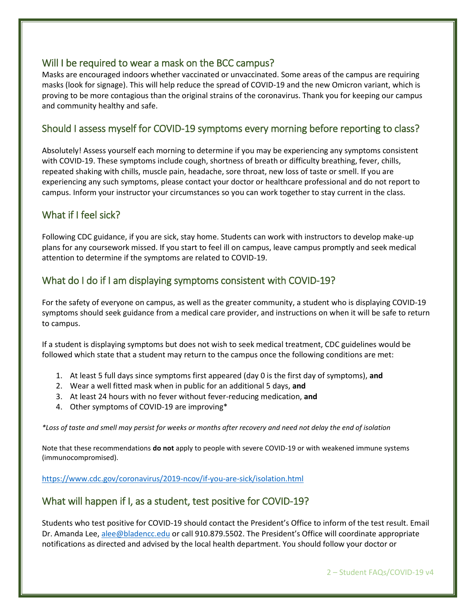## Will I be required to wear a mask on the BCC campus?

Masks are encouraged indoors whether vaccinated or unvaccinated. Some areas of the campus are requiring masks (look for signage). This will help reduce the spread of COVID-19 and the new Omicron variant, which is proving to be more contagious than the original strains of the coronavirus. Thank you for keeping our campus and community healthy and safe.

## Should I assess myself for COVID-19 symptoms every morning before reporting to class?

Absolutely! Assess yourself each morning to determine if you may be experiencing any symptoms consistent with COVID-19. These symptoms include cough, shortness of breath or difficulty breathing, fever, chills, repeated shaking with chills, muscle pain, headache, sore throat, new loss of taste or smell. If you are experiencing any such symptoms, please contact your doctor or healthcare professional and do not report to campus. Inform your instructor your circumstances so you can work together to stay current in the class.

# What if I feel sick?

Following CDC guidance, if you are sick, stay home. Students can work with instructors to develop make-up plans for any coursework missed. If you start to feel ill on campus, leave campus promptly and seek medical attention to determine if the symptoms are related to COVID-19.

## What do I do if I am displaying symptoms consistent with COVID-19?

For the safety of everyone on campus, as well as the greater community, a student who is displaying COVID-19 symptoms should seek guidance from a medical care provider, and instructions on when it will be safe to return to campus.

If a student is displaying symptoms but does not wish to seek medical treatment, CDC guidelines would be followed which state that a student may return to the campus once the following conditions are met:

- 1. At least 5 full days since symptoms first appeared (day 0 is the first day of symptoms), **and**
- 2. Wear a well fitted mask when in public for an additional 5 days, **and**
- 3. At least 24 hours with no fever without fever-reducing medication, **and**
- 4. Other symptoms of COVID-19 are improving\*

*\*Loss of taste and smell may persist for weeks or months after recovery and need not delay the end of isolation*

Note that these recommendations **do not** apply to people with severe COVID-19 or with weakened immune systems (immunocompromised).

<https://www.cdc.gov/coronavirus/2019-ncov/if-you-are-sick/isolation.html>

## What will happen if I, as a student, test positive for COVID-19?

Students who test positive for COVID-19 should contact the President's Office to inform of the test result. Email Dr. Amanda Lee[, alee@bladencc.edu](mailto:alee@bladencc.edu) or call 910.879.5502. The President's Office will coordinate appropriate notifications as directed and advised by the local health department. You should follow your doctor or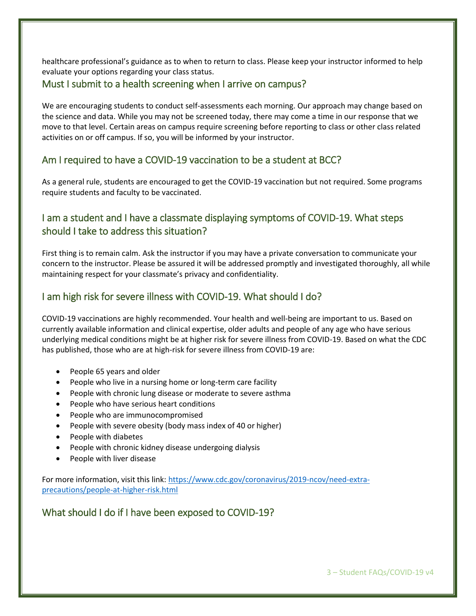healthcare professional's guidance as to when to return to class. Please keep your instructor informed to help evaluate your options regarding your class status.

## Must I submit to a health screening when I arrive on campus?

We are encouraging students to conduct self-assessments each morning. Our approach may change based on the science and data. While you may not be screened today, there may come a time in our response that we move to that level. Certain areas on campus require screening before reporting to class or other class related activities on or off campus. If so, you will be informed by your instructor.

# Am I required to have a COVID-19 vaccination to be a student at BCC?

As a general rule, students are encouraged to get the COVID-19 vaccination but not required. Some programs require students and faculty to be vaccinated.

# I am a student and I have a classmate displaying symptoms of COVID-19. What steps should I take to address this situation?

First thing is to remain calm. Ask the instructor if you may have a private conversation to communicate your concern to the instructor. Please be assured it will be addressed promptly and investigated thoroughly, all while maintaining respect for your classmate's privacy and confidentiality.

# I am high risk for severe illness with COVID-19. What should I do?

COVID-19 vaccinations are highly recommended. Your health and well-being are important to us. Based on currently available information and clinical expertise, older adults and people of any age who have serious underlying medical conditions might be at higher risk for severe illness from COVID-19. Based on what the CDC has published, those who are at high-risk for severe illness from COVID-19 are:

- People 65 years and older
- People who live in a nursing home or long-term care facility
- People with chronic lung disease or moderate to severe asthma
- People who have serious heart conditions
- People who are immunocompromised
- People with severe obesity (body mass index of 40 or higher)
- People with diabetes
- People with chronic kidney disease undergoing dialysis
- People with liver disease

For more information, visit this link: [https://www.cdc.gov/coronavirus/2019-ncov/need-extra](https://www.cdc.gov/coronavirus/2019-ncov/need-extra-precautions/people-at-higher-risk.html)[precautions/people-at-higher-risk.html](https://www.cdc.gov/coronavirus/2019-ncov/need-extra-precautions/people-at-higher-risk.html)

# What should I do if I have been exposed to COVID-19?